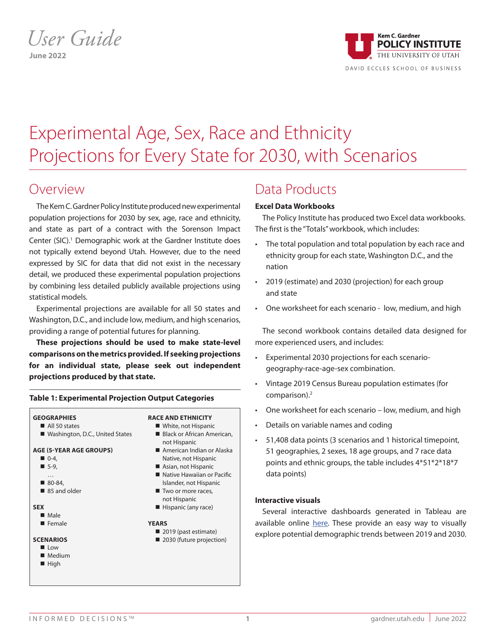# *User Guide* **June 2022**



# Experimental Age, Sex, Race and Ethnicity Projections for Every State for 2030, with Scenarios

### Overview

The Kem C. Gardner Policy Institute produced new experimental population projections for 2030 by sex, age, race and ethnicity, and state as part of a contract with the Sorenson Impact Center (SIC).<sup>1</sup> Demographic work at the Gardner Institute does not typically extend beyond Utah. However, due to the need expressed by SIC for data that did not exist in the necessary detail, we produced these experimental population projections by combining less detailed publicly available projections using statistical models.

Experimental projections are available for all 50 states and Washington, D.C., and include low, medium, and high scenarios, providing a range of potential futures for planning.

**These projections should be used to make state-level comparisons on the metrics provided. If seeking projections for an individual state, please seek out independent projections produced by that state.**

#### **GEOGRAPHIES**  $\blacksquare$  All 50 states ■ Washington, D.C., United States **AGE (5-YEAR AGE GROUPS)**  $\blacksquare$  0-4,  $-5-9$ **RACE AND ETHNICITY** White, not Hispanic Black or African American, not Hispanic ■ American Indian or Alaska Native, not Hispanic Asian, not Hispanic

**Table 1: Experimental Projection Output Categories**

- Native Hawaiian or Pacific
- Islander, not Hispanic Two or more races,

#### not Hispanic Hispanic (any race)

#### **YEARS**

2019 (past estimate) 2030 (future projection)

# Data Products

### **Excel Data Workbooks**

The Policy Institute has produced two Excel data workbooks. The first is the "Totals" workbook, which includes:

- The total population and total population by each race and ethnicity group for each state, Washington D.C., and the nation
- 2019 (estimate) and 2030 (projection) for each group and state
- One worksheet for each scenario low, medium, and high

The second workbook contains detailed data designed for more experienced users, and includes:

- Experimental 2030 projections for each scenariogeography-race-age-sex combination.
- Vintage 2019 Census Bureau population estimates (for comparison).<sup>2</sup>
- One worksheet for each scenario low, medium, and high
- Details on variable names and coding
- 51,408 data points (3 scenarios and 1 historical timepoint, 51 geographies, 2 sexes, 18 age groups, and 7 race data points and ethnic groups, the table includes 4\*51\*2\*18\*7 data points)

### **Interactive visuals**

Several interactive dashboards generated in Tableau are available online here. These provide an easy way to visually explore potential demographic trends between 2019 and 2030.

**n** Female **SCENARIOS**

**SEX**  $Male$ 

**n** 80-84 85 and older

- **n** Low
- $M$  Medium
- $\blacksquare$  High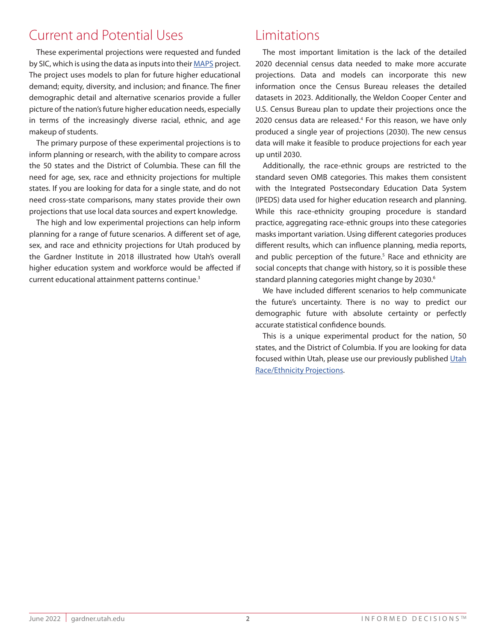## Current and Potential Uses

These experimental projections were requested and funded by SIC, which is using the data as inputs into their MAPS project. The project uses models to plan for future higher educational demand; equity, diversity, and inclusion; and finance. The finer demographic detail and alternative scenarios provide a fuller picture of the nation's future higher education needs, especially in terms of the increasingly diverse racial, ethnic, and age makeup of students.

The primary purpose of these experimental projections is to inform planning or research, with the ability to compare across the 50 states and the District of Columbia. These can fill the need for age, sex, race and ethnicity projections for multiple states. If you are looking for data for a single state, and do not need cross-state comparisons, many states provide their own projections that use local data sources and expert knowledge.

The high and low experimental projections can help inform planning for a range of future scenarios. A different set of age, sex, and race and ethnicity projections for Utah produced by the Gardner Institute in 2018 illustrated how Utah's overall higher education system and workforce would be affected if current educational attainment patterns continue.3

## Limitations

The most important limitation is the lack of the detailed 2020 decennial census data needed to make more accurate projections. Data and models can incorporate this new information once the Census Bureau releases the detailed datasets in 2023. Additionally, the Weldon Cooper Center and U.S. Census Bureau plan to update their projections once the 2020 census data are released.<sup>4</sup> For this reason, we have only produced a single year of projections (2030). The new census data will make it feasible to produce projections for each year up until 2030.

Additionally, the race-ethnic groups are restricted to the standard seven OMB categories. This makes them consistent with the Integrated Postsecondary Education Data System (IPEDS) data used for higher education research and planning. While this race-ethnicity grouping procedure is standard practice, aggregating race-ethnic groups into these categories masks important variation. Using different categories produces different results, which can influence planning, media reports, and public perception of the future.<sup>5</sup> Race and ethnicity are social concepts that change with history, so it is possible these standard planning categories might change by 2030.<sup>6</sup>

We have included different scenarios to help communicate the future's uncertainty. There is no way to predict our demographic future with absolute certainty or perfectly accurate statistical confidence bounds.

This is a unique experimental product for the nation, 50 states, and the District of Columbia. If you are looking for data focused within Utah, please use our previously published Utah Race/Ethnicity Projections.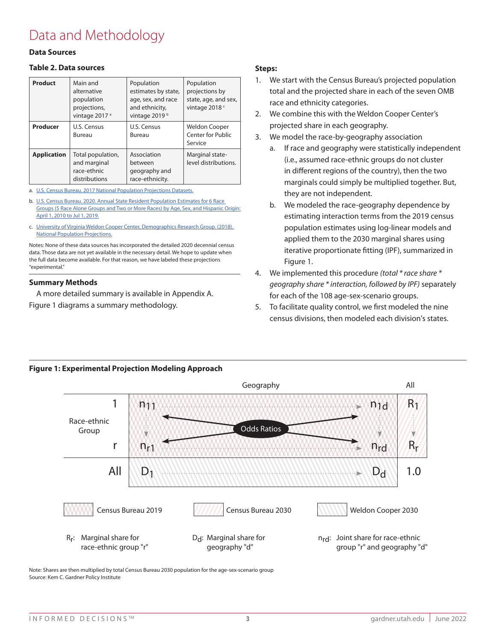# Data and Methodology

### **Data Sources**

### **Table 2. Data sources**

| Product            | Main and<br>alternative<br>population<br>projections,<br>vintage 2017 <sup>a</sup> | Population<br>estimates by state,<br>age, sex, and race<br>and ethnicity,<br>vintage 2019 <sup>b</sup> | Population<br>projections by<br>state, age, and sex,<br>vintage 2018 <sup>c</sup> |
|--------------------|------------------------------------------------------------------------------------|--------------------------------------------------------------------------------------------------------|-----------------------------------------------------------------------------------|
| Producer           | U.S. Census<br>Bureau                                                              | U.S. Census<br>Bureau                                                                                  | <b>Weldon Cooper</b><br><b>Center for Public</b><br>Service                       |
| <b>Application</b> | Total population,<br>and marginal<br>race-ethnic<br>distributions                  | Association<br>between<br>geography and<br>race-ethnicity.                                             | Marginal state-<br>level distributions.                                           |

a. U.S. Census Bureau. 2017 National Population Projections Datasets.

b. U.S. Census Bureau. 2020. Annual State Resident Population Estimates for 6 Race Groups (5 Race Alone Groups and Two or More Races) by Age, Sex, and Hispanic Origin: April 1, 2010 to Jul 1, 2019.

c. University of Virginia Weldon Cooper Center, Demographics Research Group. (2018). National Population Projections.

Notes: None of these data sources has incorporated the detailed 2020 decennial census data. Those data are not yet available in the necessary detail. We hope to update when the full data become available. For that reason, we have labeled these projections "experimental."

#### **Summary Methods**

A more detailed summary is available in Appendix A. Figure 1 diagrams a summary methodology.

### **Steps:**

- 1. We start with the Census Bureau's projected population total and the projected share in each of the seven OMB race and ethnicity categories.
- 2. We combine this with the Weldon Cooper Center's projected share in each geography.
- 3. We model the race-by-geography association
	- a. If race and geography were statistically independent (i.e., assumed race-ethnic groups do not cluster in different regions of the country), then the two marginals could simply be multiplied together. But, they are not independent.
	- b. We modeled the race-geography dependence by estimating interaction terms from the 2019 census population estimates using log-linear models and applied them to the 2030 marginal shares using iterative proportionate fitting (IPF), summarized in Figure 1.
- 4. We implemented this procedure *(total \* race share \* geography share \* interaction, followed by IPF)* separately for each of the 108 age-sex-scenario groups.
- 5. To facilitate quality control, we first modeled the nine census divisions, then modeled each division's states.

#### Geography **All** 1  $R<sub>1</sub>$  $n_{11}$  $n_{1d}$ Race-ethnic Odds Ratios Group Ý Rr r  $n_{r1}$ nrd  $D_1$ Dd All 1.0 Census Bureau 2019 Census Bureau 2030 Weldon Cooper 2030 Rr: Marginal share for D<sub>d</sub>: Marginal share for n<sub>rd</sub>: Joint share for race-ethnic race-ethnic group "r" geography "d" group "r" and geography "d"

**Figure 1: Experimental Projection Modeling Approach**

Note: Shares are then multiplied by total Census Bureau 2030 population for the age-sex-scenario group Source: Kem C. Gardner Policy Institute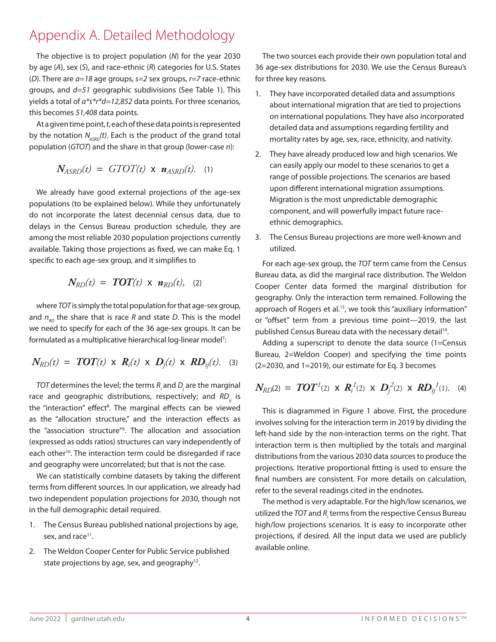# Appendix A. Detailed Methodology

The objective is to project population (*N*) for the year 2030 by age (*A*), sex (*S*), and race-ethnic (*R*) categories for U.S. States (*D*). There are *a=18* age groups, *s=2* sex groups, *r=7* race-ethnic groups, and *d=51* geographic subdivisions (See Table 1). This yields a total of *a\*s\*r\*d=12,852* data points. For three scenarios, this becomes *51,408* data points.

At a given time point, *t*, each of these data points is represented by the notation  $N_{ASRO}(t)$ . Each is the product of the grand total population (*GTOT*) and the share in that group (lower-case *n*):

$$
N_{ASRD}(t) = GTOT(t) \times n_{ASRD}(t). \quad (1)
$$

We already have good external projections of the age-sex populations (to be explained below). While they unfortunately do not incorporate the latest decennial census data, due to delays in the Census Bureau production schedule, they are among the most reliable 2030 population projections currently available. Taking those projections as fixed, we can make Eq. 1 specific to each age-sex group, and it simplifies to

$$
N_{RD}(t) = TOT(t) \times n_{RD}(t), \quad (2)
$$

where *TOT* is simply the total population for that age-sex group, and  $n_{on}$  the share that is race *R* and state *D*. This is the model we need to specify for each of the 36 age-sex groups. It can be formulated as a multiplicative hierarchical log-linear model<sup>7</sup>:

$$
N_{RD}(t) = TOT(t) \times R_i(t) \times D_j(t) \times RD_{ij}(t).
$$
 (3)

*TOT* determines the level; the terms *Ri* and *Dj* are the marginal race and geographic distributions, respectively; and *RD*<sub>*i*i</sub> is the "interaction" effect<sup>8</sup>. The marginal effects can be viewed as the "allocation structure," and the interaction effects as the "association structure"9 . The allocation and association (expressed as odds ratios) structures can vary independently of each other<sup>10</sup>. The interaction term could be disregarded if race and geography were uncorrelated; but that is not the case.

We can statistically combine datasets by taking the different terms from different sources. In our application, we already had two independent population projections for 2030, though not in the full demographic detail required.

- 1. The Census Bureau published national projections by age, sex, and race<sup>11</sup>.
- 2. The Weldon Cooper Center for Public Service published state projections by age, sex, and geography $12$ .

The two sources each provide their own population total and 36 age-sex distributions for 2030. We use the Census Bureau's for three key reasons.

- 1. They have incorporated detailed data and assumptions about international migration that are tied to projections on international populations. They have also incorporated detailed data and assumptions regarding fertility and mortality rates by age, sex, race, ethnicity, and nativity.
- 2. They have already produced low and high scenarios. We can easily apply our model to these scenarios to get a range of possible projections. The scenarios are based upon different international migration assumptions. Migration is the most unpredictable demographic component, and will powerfully impact future raceethnic demographics.
- 3. The Census Bureau projections are more well-known and utilized.

For each age-sex group, the *TOT* term came from the Census Bureau data, as did the marginal race distribution. The Weldon Cooper Center data formed the marginal distribution for geography. Only the interaction term remained. Following the approach of Rogers et al.<sup>13</sup>, we took this "auxiliary information" or "offset" term from a previous time point—2019, the last published Census Bureau data with the necessary detail<sup>14</sup>.

Adding a superscript to denote the data source (1=Census Bureau, 2=Weldon Cooper) and specifying the time points (2=2030, and 1=2019), our estimate for Eq. 3 becomes

$$
N_{RD}(2) = TOT1(2) \times R_i1(2) \times D_j2(2) \times RD_{ij}1(1).
$$
 (4)

This is diagrammed in Figure 1 above. First, the procedure involves solving for the interaction term in 2019 by dividing the left-hand side by the non-interaction terms on the right. That interaction term is then multiplied by the totals and marginal distributions from the various 2030 data sources to produce the projections. Iterative proportional fitting is used to ensure the final numbers are consistent. For more details on calculation, refer to the several readings cited in the endnotes.

The method is very adaptable. For the high/low scenarios, we utilized the *TOT* and  $R_{\scriptscriptstyle{f}}$  terms from the respective Census Bureau high/low projections scenarios. It is easy to incorporate other projections, if desired. All the input data we used are publicly available online.